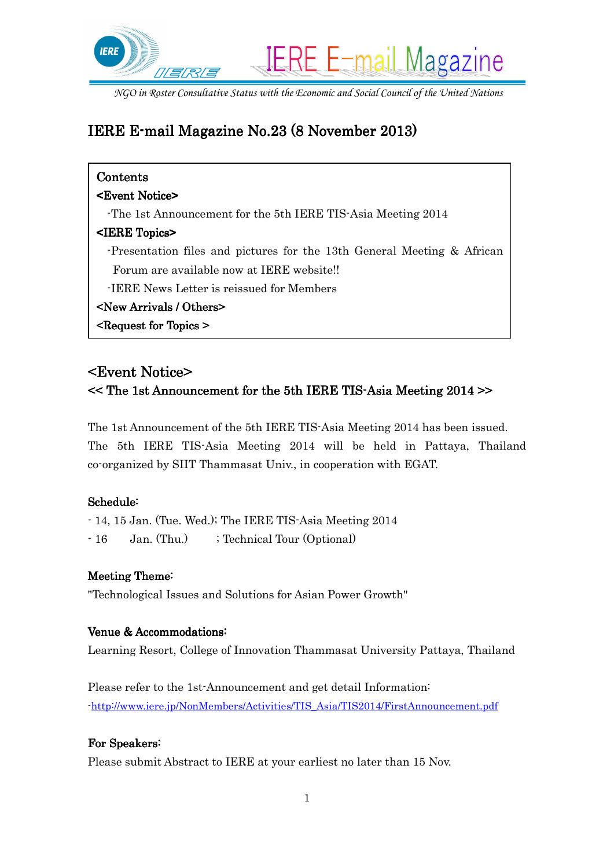

# IERE E-mail Magazine No. 23 (8 November 2013)

| Contents                                                                   |
|----------------------------------------------------------------------------|
| <b><event notice=""></event></b>                                           |
| The 1st Announcement for the 5th IERE TIS-Asia Meeting 2014                |
| <iere topics=""></iere>                                                    |
| -Presentation files and pictures for the 13th General Meeting $\&$ African |
| Forum are available now at IERE website!!                                  |
| -IERE News Letter is reissued for Members                                  |
| <b><new arrivals="" others=""></new></b>                                   |
| $\leq$ Request for Topics $\geq$                                           |

## <Event Notice> <Event Notice>

### << The 1st Announcement for the 5th IERE TIS-Asia Meeting 2014 >>

The 1st Announcement of the 5th IERE TIS-Asia Meeting 2014 has been issued. The 5th IERE TIS-Asia Meeting 2014 will be held in Pattaya, Thailand co-organized by SIIT Thammasat Univ., in cooperation with EGAT.

### Schedule:

- 14, 15 Jan. (Tue. Wed.); The IERE TIS-Asia Meeting 2014 - 16 Jan. (Thu.) ; Technical Tour (Optional)

### Meeting Theme:

"Technological Issues and Solutions for Asian Power Growth"

### Venue & Accommodations:

Learning Resort, College of Innovation Thammasat University Pattaya, Thailand

Please refer to the 1st-Announcement and get detail Information: -http://www.iere.jp/NonMembers/Activities/TIS\_Asia/TIS2014/FirstAnnouncement.pdf

### For Speakers:

Please submit Abstract to IERE at your earliest no later than 15 Nov.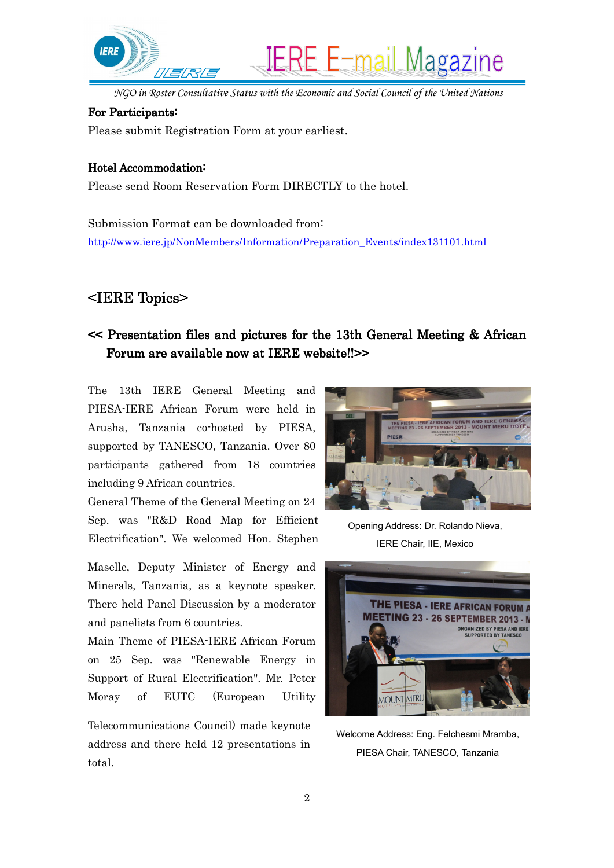

#### For Participants:

Please submit Registration Form at your earliest.

#### Hotel Accommodation:

Please send Room Reservation Form DIRECTLY to the hotel.

Submission Format can be downloaded from: http://www.iere.jp/NonMembers/Information/Preparation\_Events/index131101.html

## <IERE Topics> <IERE Topics>

## << Presentation files and pictures for the 13th General Meeting & African Forum are available now at IERE website!! >>

The 13th IERE General Meeting and PIESA-IERE African Forum were held in Arusha, Tanzania co-hosted by PIESA, supported by TANESCO, Tanzania. Over 80 participants gathered from 18 countries including 9 African countries.

General Theme of the General Meeting on 24 Sep. was "R&D Road Map for Efficient Electrification". We welcomed Hon. Stephen

Maselle, Deputy Minister of Energy and Minerals, Tanzania, as a keynote speaker. There held Panel Discussion by a moderator and panelists from 6 countries.

Main Theme of PIESA-IERE African Forum on 25 Sep. was "Renewable Energy in Support of Rural Electrification". Mr. Peter Moray of EUTC (European Utility

Telecommunications Council) made keynote address and there held 12 presentations in total.



Opening Address: Dr. Rolando Nieva, IERE Chair, IIE, Mexico



Welcome Address: Eng. Felchesmi Mramba, PIESA Chair, TANESCO, Tanzania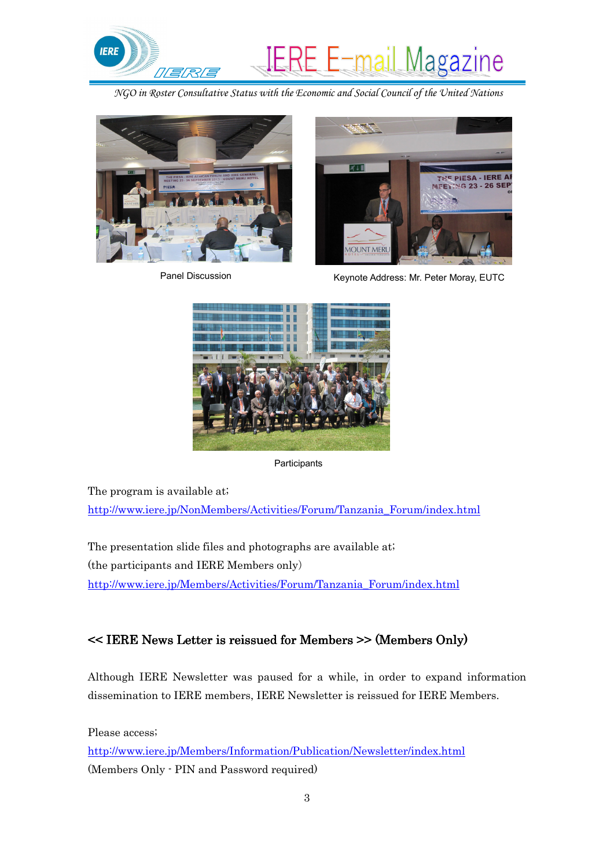



Panel Discussion



Keynote Address: Mr. Peter Moray, EUTC



**Participants** 

The program is available at; http://www.iere.jp/NonMembers/Activities/Forum/Tanzania\_Forum/index.html

The presentation slide files and photographs are available at; (the participants and IERE Members only) http://www.iere.jp/Members/Activities/Forum/Tanzania\_Forum/index.html

## $<<$  IERE News Letter is reissued for Members  $>>$  (Members Only)

Although IERE Newsletter was paused for a while, in order to expand information dissemination to IERE members, IERE Newsletter is reissued for IERE Members.

Please access;

http://www.iere.jp/Members/Information/Publication/Newsletter/index.html (Members Only - PIN and Password required)